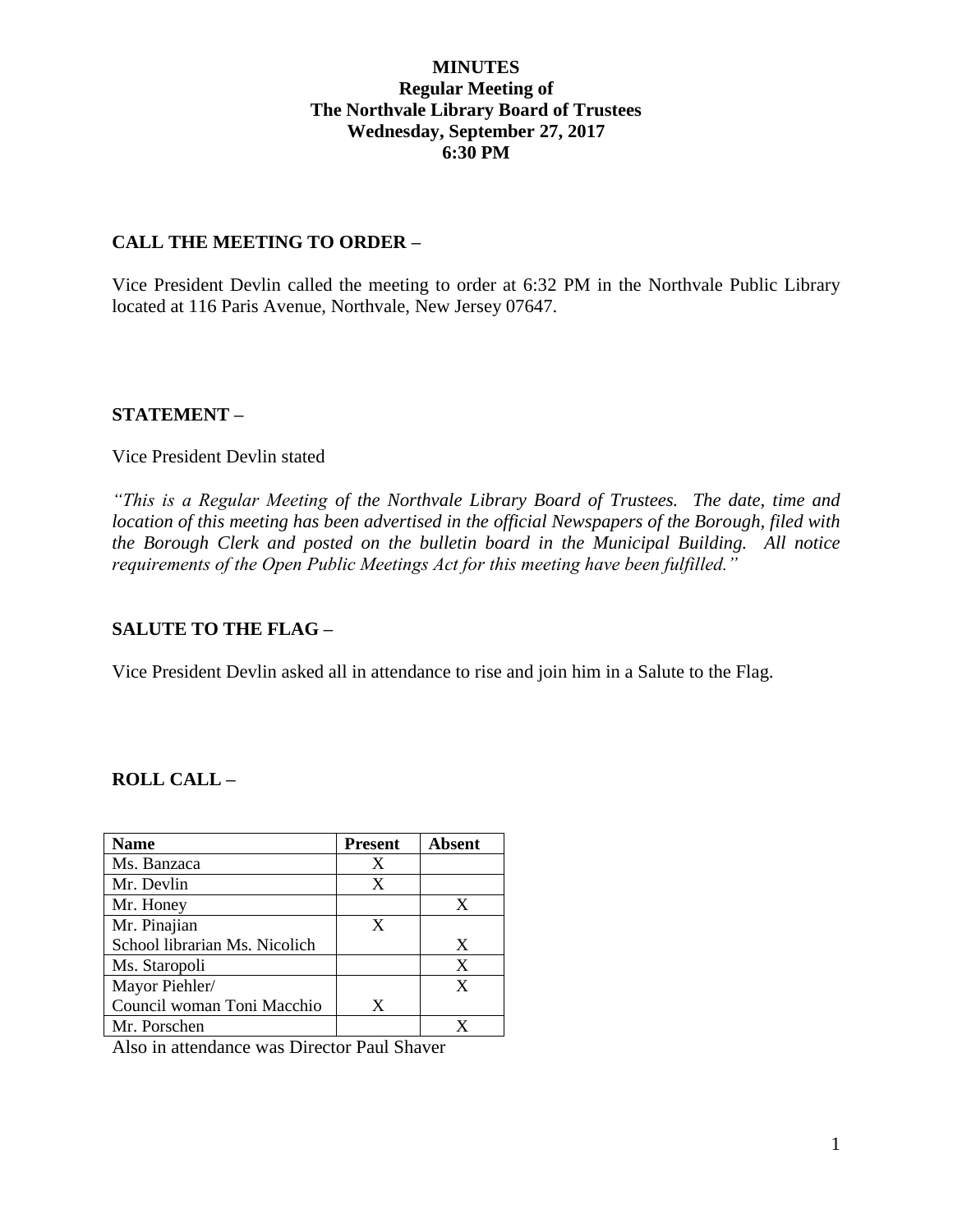### **MINUTES Regular Meeting of The Northvale Library Board of Trustees Wednesday, September 27, 2017 6:30 PM**

### **CALL THE MEETING TO ORDER –**

Vice President Devlin called the meeting to order at 6:32 PM in the Northvale Public Library located at 116 Paris Avenue, Northvale, New Jersey 07647.

### **STATEMENT –**

#### Vice President Devlin stated

*"This is a Regular Meeting of the Northvale Library Board of Trustees. The date, time and location of this meeting has been advertised in the official Newspapers of the Borough, filed with the Borough Clerk and posted on the bulletin board in the Municipal Building. All notice requirements of the Open Public Meetings Act for this meeting have been fulfilled."* 

# **SALUTE TO THE FLAG –**

Vice President Devlin asked all in attendance to rise and join him in a Salute to the Flag.

# **ROLL CALL –**

| <b>Name</b>                   | <b>Present</b> | <b>Absent</b> |
|-------------------------------|----------------|---------------|
| Ms. Banzaca                   | X              |               |
| Mr. Devlin                    | X              |               |
| Mr. Honey                     |                | X             |
| Mr. Pinajian                  | X              |               |
| School librarian Ms. Nicolich |                | X             |
| Ms. Staropoli                 |                | X             |
| Mayor Piehler/                |                | X             |
| Council woman Toni Macchio    | X              |               |
| Mr. Porschen                  |                |               |

Also in attendance was Director Paul Shaver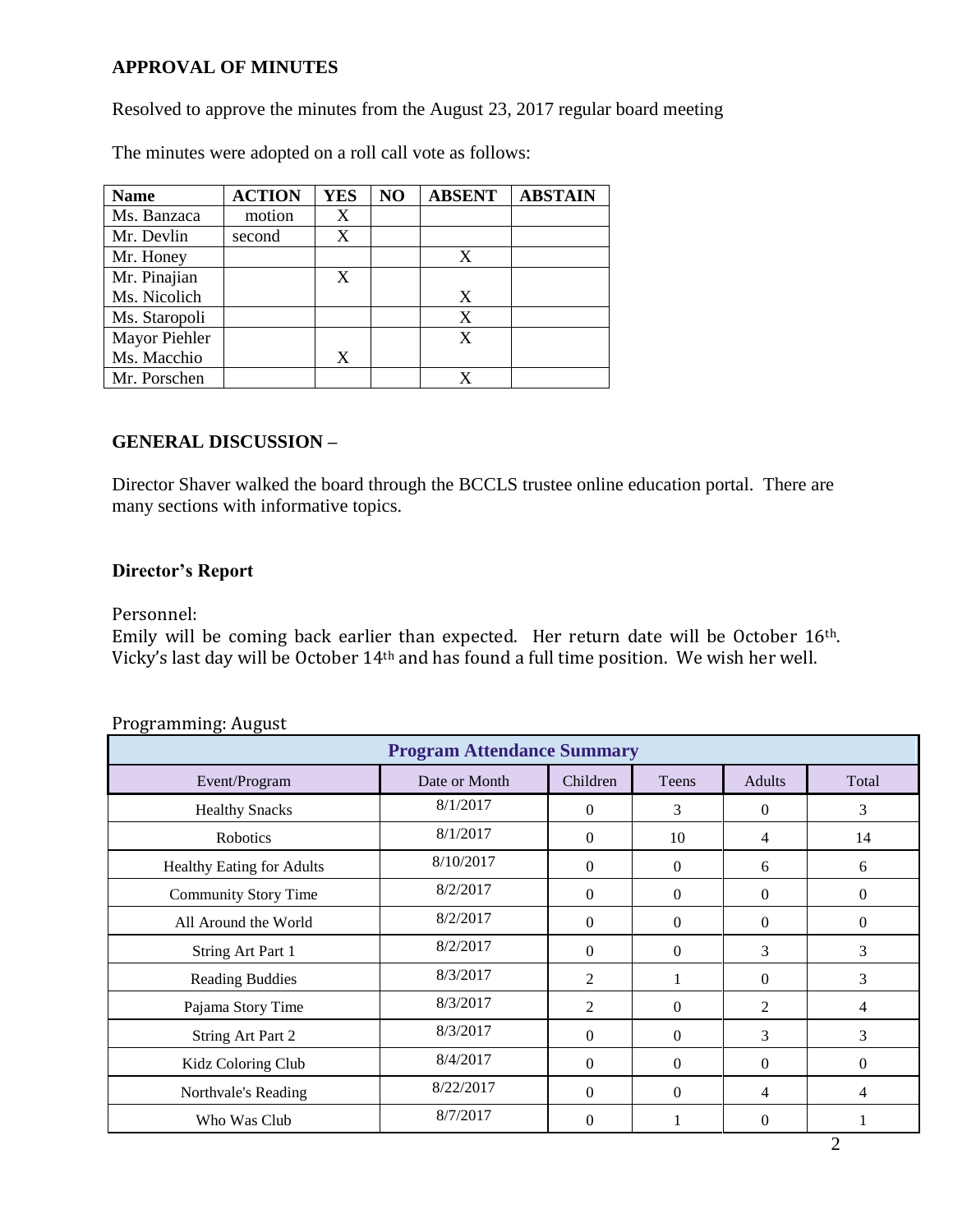# **APPROVAL OF MINUTES**

Resolved to approve the minutes from the August 23, 2017 regular board meeting

| <b>Name</b>   | <b>ACTION</b> | <b>YES</b> | NO | <b>ABSENT</b> | <b>ABSTAIN</b> |
|---------------|---------------|------------|----|---------------|----------------|
| Ms. Banzaca   | motion        | X          |    |               |                |
| Mr. Devlin    | second        | X          |    |               |                |
| Mr. Honey     |               |            |    | X             |                |
| Mr. Pinajian  |               | X          |    |               |                |
| Ms. Nicolich  |               |            |    | X             |                |
| Ms. Staropoli |               |            |    | X             |                |
| Mayor Piehler |               |            |    | X             |                |
| Ms. Macchio   |               | X          |    |               |                |
| Mr. Porschen  |               |            |    |               |                |

The minutes were adopted on a roll call vote as follows:

### **GENERAL DISCUSSION –**

Director Shaver walked the board through the BCCLS trustee online education portal. There are many sections with informative topics.

### **Director's Report**

Personnel:

Emily will be coming back earlier than expected. Her return date will be October 16th. Vicky's last day will be October 14th and has found a full time position. We wish her well.

| <b>Program Attendance Summary</b> |               |                |              |                |                |  |  |  |
|-----------------------------------|---------------|----------------|--------------|----------------|----------------|--|--|--|
| Event/Program                     | Date or Month | Children       | Teens        | <b>Adults</b>  | Total          |  |  |  |
| <b>Healthy Snacks</b>             | 8/1/2017      | $\mathbf{0}$   | 3            | $\theta$       | 3              |  |  |  |
| Robotics                          | 8/1/2017      | $\mathbf{0}$   | 10           | 4              | 14             |  |  |  |
| <b>Healthy Eating for Adults</b>  | 8/10/2017     | $\Omega$       | $\Omega$     | 6              | 6              |  |  |  |
| <b>Community Story Time</b>       | 8/2/2017      | $\Omega$       | $\Omega$     | $\theta$       | $\Omega$       |  |  |  |
| All Around the World              | 8/2/2017      | $\mathbf{0}$   | $\mathbf{0}$ | $\Omega$       | $\overline{0}$ |  |  |  |
| String Art Part 1                 | 8/2/2017      | $\Omega$       | $\Omega$     | 3              | 3              |  |  |  |
| <b>Reading Buddies</b>            | 8/3/2017      | 2              | 1            | $\theta$       | 3              |  |  |  |
| Pajama Story Time                 | 8/3/2017      | $\overline{2}$ | $\mathbf{0}$ | $\mathfrak{D}$ | 4              |  |  |  |
| String Art Part 2                 | 8/3/2017      | $\Omega$       | $\Omega$     | 3              | 3              |  |  |  |
| Kidz Coloring Club                | 8/4/2017      | $\Omega$       | $\Omega$     | $\theta$       | $\Omega$       |  |  |  |
| Northvale's Reading               | 8/22/2017     | $\theta$       | $\Omega$     | 4              | 4              |  |  |  |
| Who Was Club                      | 8/7/2017      | $\theta$       |              | $\Omega$       |                |  |  |  |

#### Programming: August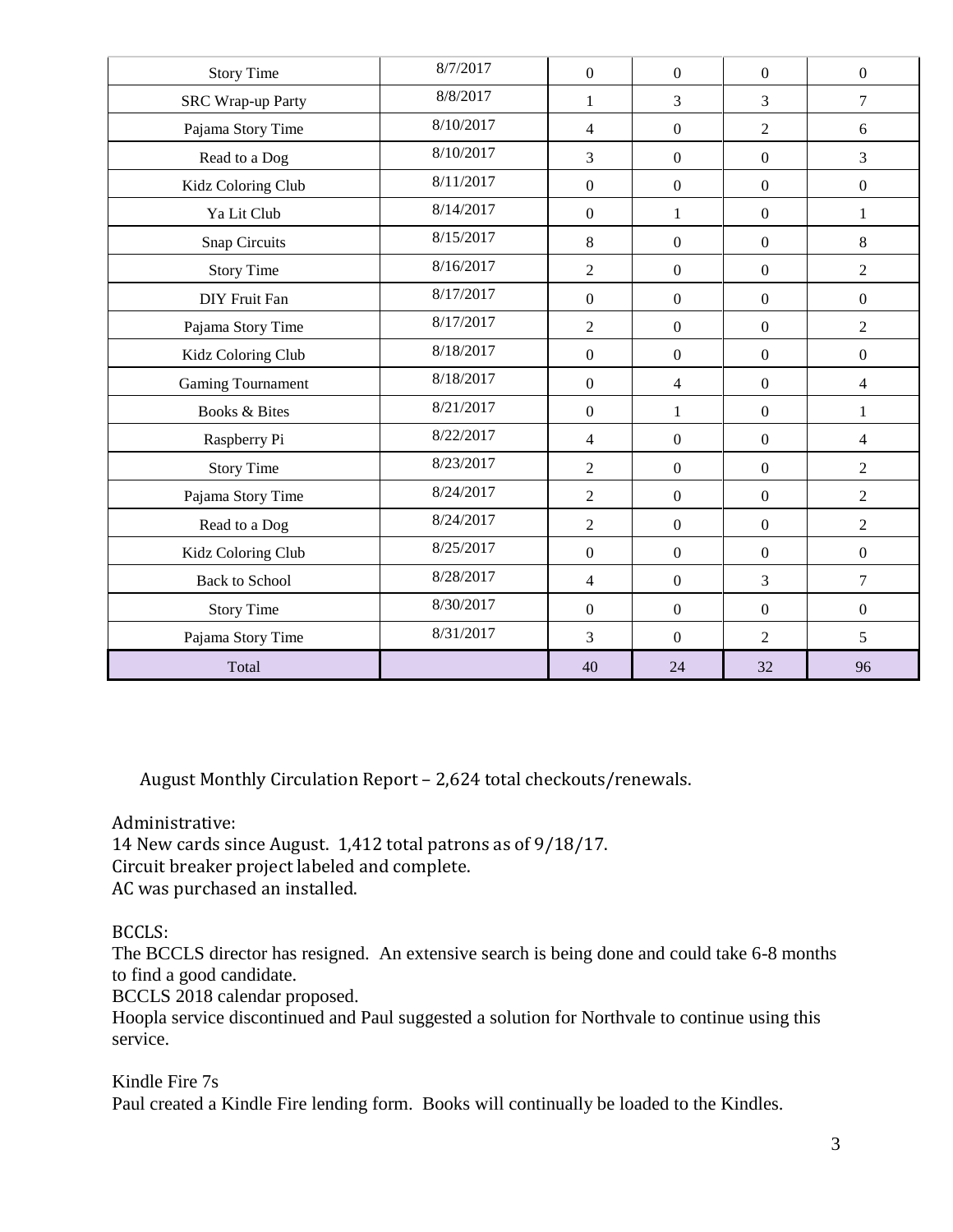| <b>Story Time</b>        | 8/7/2017  | $\boldsymbol{0}$ | $\overline{0}$   | $\boldsymbol{0}$ | $\boldsymbol{0}$ |
|--------------------------|-----------|------------------|------------------|------------------|------------------|
| <b>SRC Wrap-up Party</b> | 8/8/2017  | $\mathbf{1}$     | 3                | 3                | $\overline{7}$   |
| Pajama Story Time        | 8/10/2017 | $\overline{4}$   | $\boldsymbol{0}$ | $\overline{2}$   | 6                |
| Read to a Dog            | 8/10/2017 | 3                | $\boldsymbol{0}$ | $\boldsymbol{0}$ | $\overline{3}$   |
| Kidz Coloring Club       | 8/11/2017 | $\boldsymbol{0}$ | $\boldsymbol{0}$ | $\boldsymbol{0}$ | $\boldsymbol{0}$ |
| Ya Lit Club              | 8/14/2017 | $\overline{0}$   | $\mathbf{1}$     | $\boldsymbol{0}$ | $\mathbf{1}$     |
| Snap Circuits            | 8/15/2017 | 8                | $\boldsymbol{0}$ | $\boldsymbol{0}$ | $8\,$            |
| <b>Story Time</b>        | 8/16/2017 | $\overline{2}$   | $\boldsymbol{0}$ | $\boldsymbol{0}$ | $\overline{2}$   |
| DIY Fruit Fan            | 8/17/2017 | $\boldsymbol{0}$ | $\boldsymbol{0}$ | $\boldsymbol{0}$ | $\boldsymbol{0}$ |
| Pajama Story Time        | 8/17/2017 | $\overline{2}$   | $\boldsymbol{0}$ | $\boldsymbol{0}$ | $\overline{2}$   |
| Kidz Coloring Club       | 8/18/2017 | $\boldsymbol{0}$ | $\boldsymbol{0}$ | $\boldsymbol{0}$ | $\boldsymbol{0}$ |
| <b>Gaming Tournament</b> | 8/18/2017 | $\overline{0}$   | $\overline{4}$   | $\boldsymbol{0}$ | $\overline{4}$   |
| <b>Books &amp; Bites</b> | 8/21/2017 | $\boldsymbol{0}$ | $\mathbf{1}$     | $\boldsymbol{0}$ | $\mathbf{1}$     |
| Raspberry Pi             | 8/22/2017 | $\overline{4}$   | $\boldsymbol{0}$ | $\boldsymbol{0}$ | $\overline{4}$   |
| <b>Story Time</b>        | 8/23/2017 | $\overline{2}$   | $\boldsymbol{0}$ | $\boldsymbol{0}$ | $\overline{2}$   |
| Pajama Story Time        | 8/24/2017 | $\overline{2}$   | $\boldsymbol{0}$ | $\boldsymbol{0}$ | $\overline{2}$   |
| Read to a Dog            | 8/24/2017 | $\overline{2}$   | $\boldsymbol{0}$ | $\boldsymbol{0}$ | $\overline{2}$   |
| Kidz Coloring Club       | 8/25/2017 | $\boldsymbol{0}$ | $\boldsymbol{0}$ | $\boldsymbol{0}$ | $\boldsymbol{0}$ |
| <b>Back to School</b>    | 8/28/2017 | 4                | $\overline{0}$   | 3                | $\overline{7}$   |
| <b>Story Time</b>        | 8/30/2017 | $\overline{0}$   | $\boldsymbol{0}$ | $\boldsymbol{0}$ | $\boldsymbol{0}$ |
| Pajama Story Time        | 8/31/2017 | 3                | $\boldsymbol{0}$ | $\overline{2}$   | 5                |
| Total                    |           | 40               | 24               | 32               | 96               |

August Monthly Circulation Report – 2,624 total checkouts/renewals.

Administrative:

14 New cards since August. 1,412 total patrons as of 9/18/17. Circuit breaker project labeled and complete.

AC was purchased an installed.

# BCCLS:

The BCCLS director has resigned. An extensive search is being done and could take 6-8 months to find a good candidate.

BCCLS 2018 calendar proposed.

Hoopla service discontinued and Paul suggested a solution for Northvale to continue using this service.

Kindle Fire 7s Paul created a Kindle Fire lending form. Books will continually be loaded to the Kindles.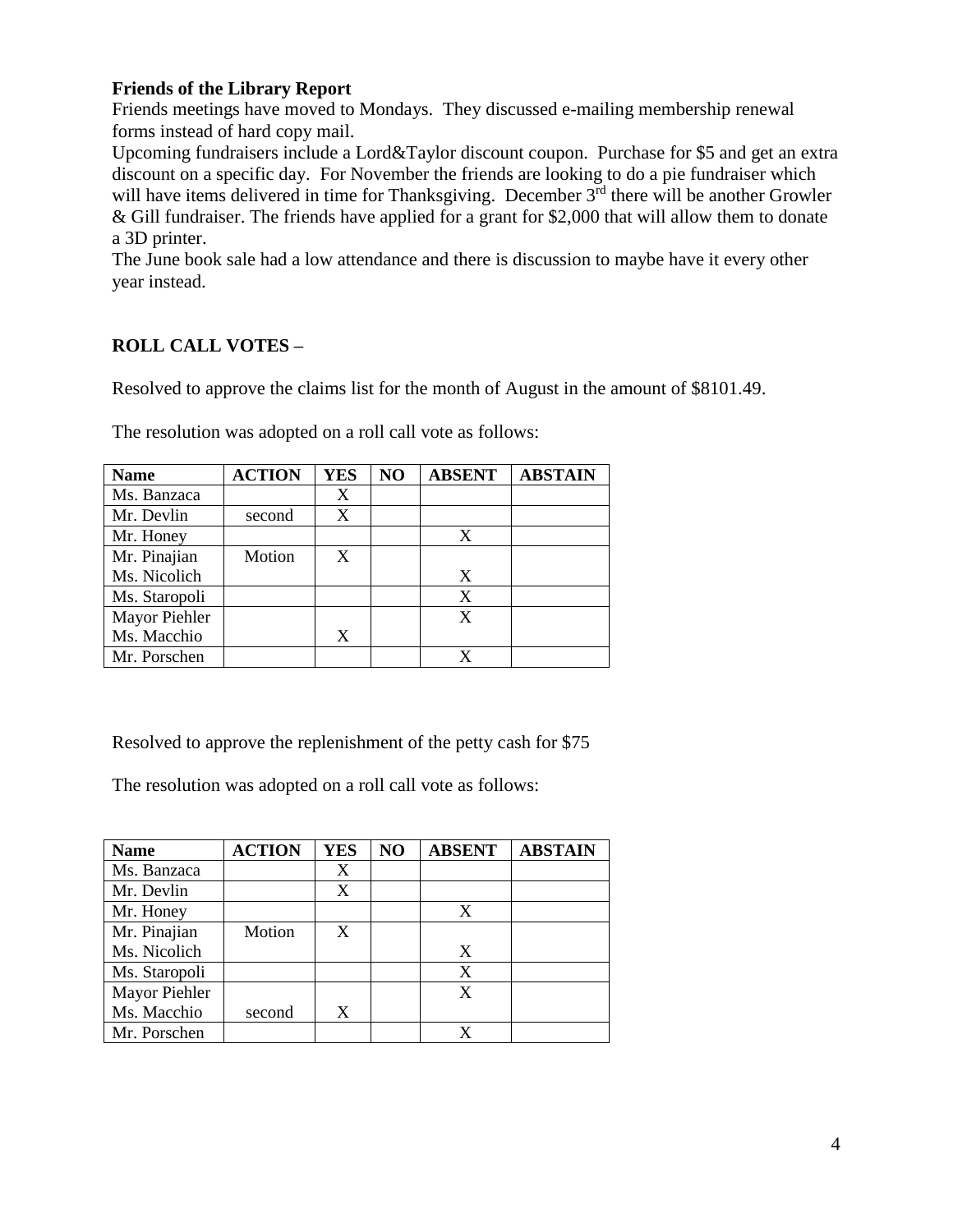### **Friends of the Library Report**

Friends meetings have moved to Mondays. They discussed e-mailing membership renewal forms instead of hard copy mail.

Upcoming fundraisers include a Lord&Taylor discount coupon. Purchase for \$5 and get an extra discount on a specific day. For November the friends are looking to do a pie fundraiser which will have items delivered in time for Thanksgiving. December  $3<sup>rd</sup>$  there will be another Growler & Gill fundraiser. The friends have applied for a grant for \$2,000 that will allow them to donate a 3D printer.

The June book sale had a low attendance and there is discussion to maybe have it every other year instead.

### **ROLL CALL VOTES –**

Resolved to approve the claims list for the month of August in the amount of \$8101.49.

| <b>Name</b>   | <b>ACTION</b> | YES | NO | <b>ABSENT</b> | <b>ABSTAIN</b> |
|---------------|---------------|-----|----|---------------|----------------|
| Ms. Banzaca   |               | X   |    |               |                |
| Mr. Devlin    | second        | X   |    |               |                |
| Mr. Honey     |               |     |    | X             |                |
| Mr. Pinajian  | Motion        | X   |    |               |                |
| Ms. Nicolich  |               |     |    | X             |                |
| Ms. Staropoli |               |     |    | X             |                |
| Mayor Piehler |               |     |    | X             |                |
| Ms. Macchio   |               | X   |    |               |                |
| Mr. Porschen  |               |     |    |               |                |

The resolution was adopted on a roll call vote as follows:

Resolved to approve the replenishment of the petty cash for \$75

The resolution was adopted on a roll call vote as follows:

| <b>Name</b>   | <b>ACTION</b> | <b>YES</b> | N <sub>O</sub> | <b>ABSENT</b> | <b>ABSTAIN</b> |
|---------------|---------------|------------|----------------|---------------|----------------|
| Ms. Banzaca   |               | X          |                |               |                |
| Mr. Devlin    |               | X          |                |               |                |
| Mr. Honey     |               |            |                | X             |                |
| Mr. Pinajian  | Motion        | X          |                |               |                |
| Ms. Nicolich  |               |            |                | X             |                |
| Ms. Staropoli |               |            |                | X             |                |
| Mayor Piehler |               |            |                | X             |                |
| Ms. Macchio   | second        | X          |                |               |                |
| Mr. Porschen  |               |            |                |               |                |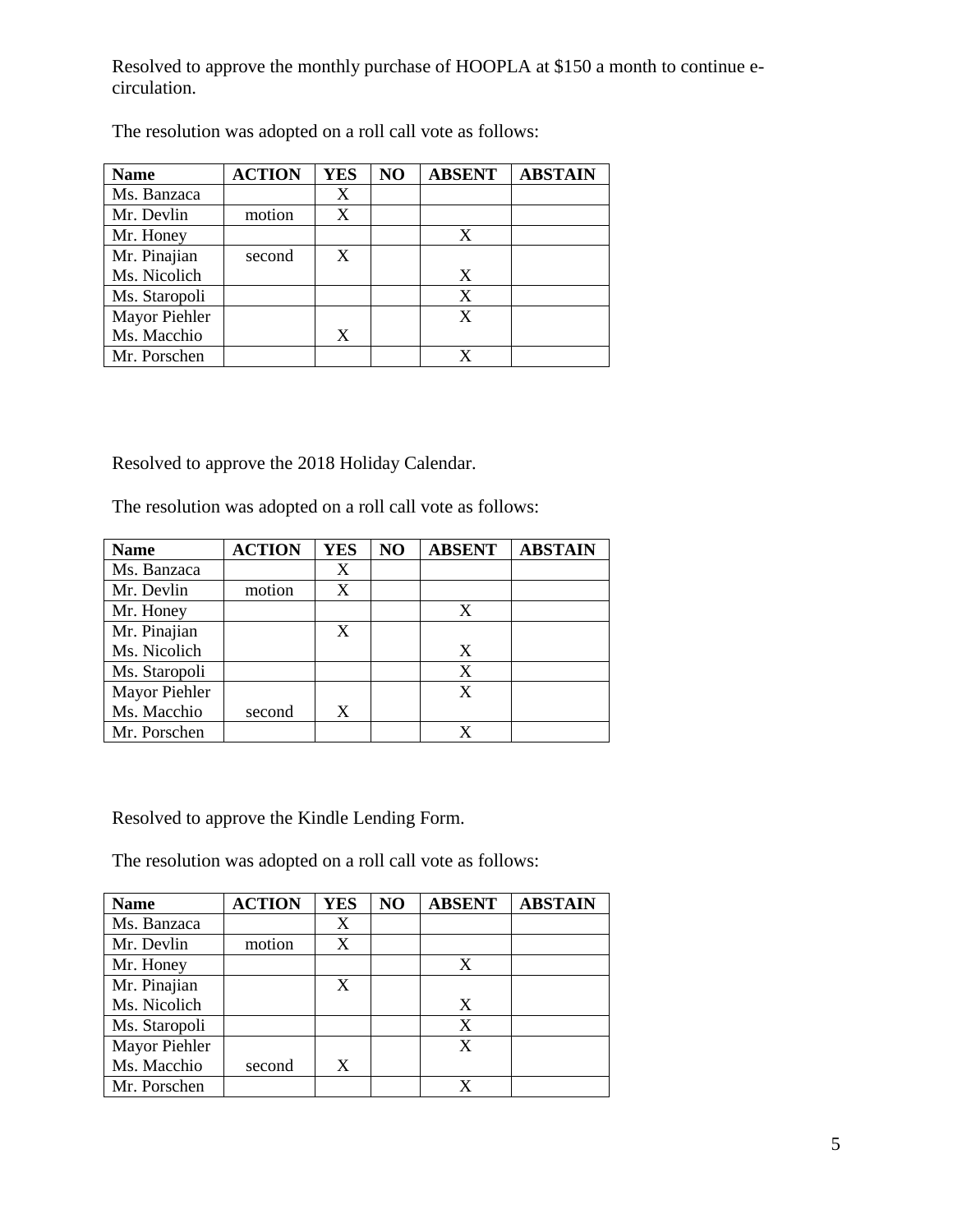Resolved to approve the monthly purchase of HOOPLA at \$150 a month to continue ecirculation.

| <b>Name</b>   | <b>ACTION</b> | <b>YES</b> | NO | <b>ABSENT</b> | <b>ABSTAIN</b> |
|---------------|---------------|------------|----|---------------|----------------|
| Ms. Banzaca   |               | X          |    |               |                |
| Mr. Devlin    | motion        | X          |    |               |                |
| Mr. Honey     |               |            |    | X             |                |
| Mr. Pinajian  | second        | X          |    |               |                |
| Ms. Nicolich  |               |            |    | X             |                |
| Ms. Staropoli |               |            |    | X             |                |
| Mayor Piehler |               |            |    | X             |                |
| Ms. Macchio   |               | X          |    |               |                |
| Mr. Porschen  |               |            |    |               |                |

The resolution was adopted on a roll call vote as follows:

Resolved to approve the 2018 Holiday Calendar.

The resolution was adopted on a roll call vote as follows:

| <b>Name</b>   | <b>ACTION</b> | <b>YES</b> | NO | <b>ABSENT</b> | <b>ABSTAIN</b> |
|---------------|---------------|------------|----|---------------|----------------|
| Ms. Banzaca   |               | X          |    |               |                |
| Mr. Devlin    | motion        | X          |    |               |                |
| Mr. Honey     |               |            |    | X             |                |
| Mr. Pinajian  |               | X          |    |               |                |
| Ms. Nicolich  |               |            |    | X             |                |
| Ms. Staropoli |               |            |    | X             |                |
| Mayor Piehler |               |            |    | X             |                |
| Ms. Macchio   | second        | X          |    |               |                |
| Mr. Porschen  |               |            |    |               |                |

Resolved to approve the Kindle Lending Form.

The resolution was adopted on a roll call vote as follows:

| <b>Name</b>   | <b>ACTION</b> | <b>YES</b> | NO | <b>ABSENT</b> | <b>ABSTAIN</b> |
|---------------|---------------|------------|----|---------------|----------------|
| Ms. Banzaca   |               | X          |    |               |                |
| Mr. Devlin    | motion        | X          |    |               |                |
| Mr. Honey     |               |            |    | X             |                |
| Mr. Pinajian  |               | X          |    |               |                |
| Ms. Nicolich  |               |            |    | X             |                |
| Ms. Staropoli |               |            |    | X             |                |
| Mayor Piehler |               |            |    | X             |                |
| Ms. Macchio   | second        | X          |    |               |                |
| Mr. Porschen  |               |            |    |               |                |